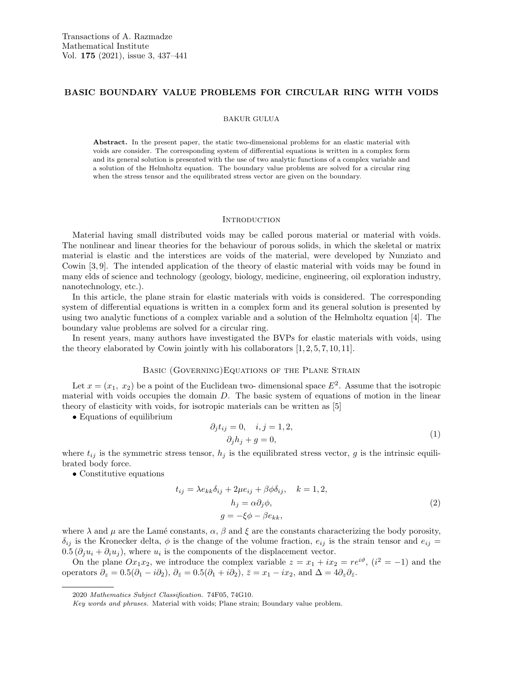# BASIC BOUNDARY VALUE PROBLEMS FOR CIRCULAR RING WITH VOIDS

#### BAKUR GULUA

Abstract. In the present paper, the static two-dimensional problems for an elastic material with voids are consider. The corresponding system of differential equations is written in a complex form and its general solution is presented with the use of two analytic functions of a complex variable and a solution of the Helmholtz equation. The boundary value problems are solved for a circular ring when the stress tensor and the equilibrated stress vector are given on the boundary.

#### **INTRODUCTION**

Material having small distributed voids may be called porous material or material with voids. The nonlinear and linear theories for the behaviour of porous solids, in which the skeletal or matrix material is elastic and the interstices are voids of the material, were developed by Nunziato and Cowin [3, 9]. The intended application of the theory of elastic material with voids may be found in many elds of science and technology (geology, biology, medicine, engineering, oil exploration industry, nanotechnology, etc.).

In this article, the plane strain for elastic materials with voids is considered. The corresponding system of differential equations is written in a complex form and its general solution is presented by using two analytic functions of a complex variable and a solution of the Helmholtz equation [4]. The boundary value problems are solved for a circular ring.

In resent years, many authors have investigated the BVPs for elastic materials with voids, using the theory elaborated by Cowin jointly with his collaborators  $[1, 2, 5, 7, 10, 11]$ .

### Basic (Governing)Equations of the Plane Strain

Let  $x = (x_1, x_2)$  be a point of the Euclidean two-dimensional space  $E^2$ . Assume that the isotropic material with voids occupies the domain D. The basic system of equations of motion in the linear theory of elasticity with voids, for isotropic materials can be written as [5]

• Equations of equilibrium

$$
\partial_j t_{ij} = 0, \quad i, j = 1, 2,
$$
  

$$
\partial_j h_j + g = 0,
$$
 (1)

where  $t_{ij}$  is the symmetric stress tensor,  $h_j$  is the equilibrated stress vector, g is the intrinsic equilibrated body force.

• Constitutive equations

$$
t_{ij} = \lambda e_{kk} \delta_{ij} + 2\mu e_{ij} + \beta \phi \delta_{ij}, \quad k = 1, 2,
$$
  
\n
$$
h_j = \alpha \partial_j \phi,
$$
  
\n
$$
g = -\xi \phi - \beta e_{kk},
$$
\n(2)

where  $\lambda$  and  $\mu$  are the Lamé constants,  $\alpha$ ,  $\beta$  and  $\xi$  are the constants characterizing the body porosity,  $\delta_{ij}$  is the Kronecker delta,  $\phi$  is the change of the volume fraction,  $e_{ij}$  is the strain tensor and  $e_{ij}$  =  $0.5(\partial_j u_i + \partial_i u_j)$ , where  $u_i$  is the components of the displacement vector.

On the plane  $Ox_1x_2$ , we introduce the complex variable  $z = x_1 + ix_2 = re^{i\vartheta}$ ,  $(i^2 = -1)$  and the operators  $\partial_z = 0.5(\partial_1 - i\partial_2), \ \partial_{\bar{z}} = 0.5(\partial_1 + i\partial_2), \ \bar{z} = x_1 - ix_2, \text{ and } \Delta = 4\partial_z\partial_{\bar{z}}.$ 

<sup>2020</sup> Mathematics Subject Classification. 74F05, 74G10.

Key words and phrases. Material with voids; Plane strain; Boundary value problem.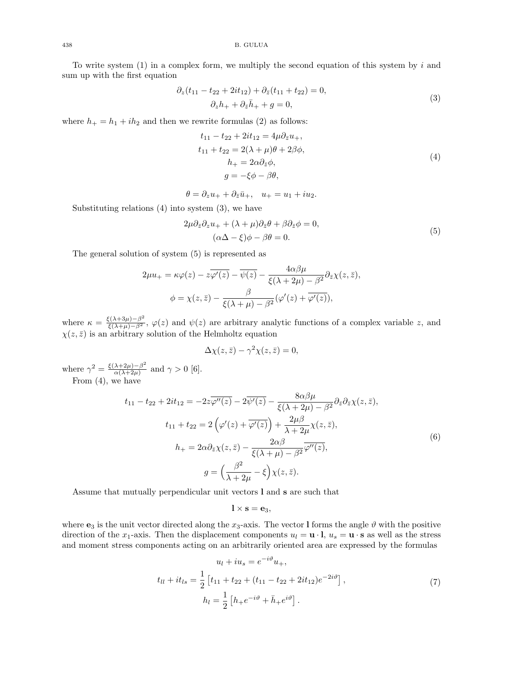To write system  $(1)$  in a complex form, we multiply the second equation of this system by i and sum up with the first equation

$$
\partial_z(t_{11} - t_{22} + 2it_{12}) + \partial_{\bar{z}}(t_{11} + t_{22}) = 0,\n\partial_z h_+ + \partial_{\bar{z}} \bar{h}_+ + g = 0,
$$
\n(3)

where  $h_+ = h_1 + ih_2$  and then we rewrite formulas (2) as follows:

$$
t_{11} - t_{22} + 2it_{12} = 4\mu \partial_{\bar{z}} u_+,
$$
  
\n
$$
t_{11} + t_{22} = 2(\lambda + \mu)\theta + 2\beta\phi,
$$
  
\n
$$
h_+ = 2\alpha \partial_{\bar{z}} \phi,
$$
  
\n
$$
g = -\xi \phi - \beta\theta,
$$
\n(4)

$$
\theta = \partial_z u_+ + \partial_{\bar{z}} \bar{u}_+, \quad u_+ = u_1 + i u_2.
$$

Substituting relations  $(4)$  into system  $(3)$ , we have

$$
2\mu \partial_{\bar{z}} \partial_z u_+ + (\lambda + \mu) \partial_{\bar{z}} \theta + \beta \partial_{\bar{z}} \phi = 0,
$$
  
\n
$$
(\alpha \Delta - \xi) \phi - \beta \theta = 0.
$$
\n(5)

The general solution of system (5) is represented as

$$
2\mu u_{+} = \kappa \varphi(z) - z\overline{\varphi'(z)} - \overline{\psi(z)} - \frac{4\alpha\beta\mu}{\xi(\lambda + 2\mu) - \beta^2} \partial_{\bar{z}} \chi(z, \bar{z}),
$$

$$
\phi = \chi(z, \bar{z}) - \frac{\beta}{\xi(\lambda + \mu) - \beta^2} (\varphi'(z) + \overline{\varphi'(z)}),
$$

where  $\kappa = \frac{\xi(\lambda+3\mu)-\beta^2}{\xi(\lambda+\mu)-\beta^2}$ ,  $\varphi(z)$  and  $\psi(z)$  are arbitrary analytic functions of a complex variable z, and  $\chi(z,\bar{z})$  is an arbitrary solution of the Helmholtz equation

$$
\Delta \chi(z,\bar{z}) - \gamma^2 \chi(z,\bar{z}) = 0,
$$

where  $\gamma^2 = \frac{\xi(\lambda+2\mu)-\beta^2}{\alpha(\lambda+2\mu)}$  $\frac{\lambda+2\mu-\beta}{\alpha(\lambda+2\mu)}$  and  $\gamma > 0$  [6]. From (4), we have

$$
t_{11} - t_{22} + 2it_{12} = -2z\overline{\varphi''(z)} - 2\overline{\psi'(z)} - \frac{8\alpha\beta\mu}{\xi(\lambda + 2\mu) - \beta^2} \partial_{\bar{z}} \partial_{\bar{z}} \chi(z, \bar{z}),
$$
  
\n
$$
t_{11} + t_{22} = 2\left(\varphi'(z) + \overline{\varphi'(z)}\right) + \frac{2\mu\beta}{\lambda + 2\mu} \chi(z, \bar{z}),
$$
  
\n
$$
h_{+} = 2\alpha\partial_{\bar{z}}\chi(z, \bar{z}) - \frac{2\alpha\beta}{\xi(\lambda + \mu) - \beta^2} \overline{\varphi''(z)},
$$
  
\n
$$
g = \left(\frac{\beta^2}{\lambda + 2\mu} - \xi\right) \chi(z, \bar{z}).
$$
\n(6)

Assume that mutually perpendicular unit vectors l and s are such that

$$
\mathbf{l}\times\mathbf{s}=\mathbf{e}_3,
$$

where  $\mathbf{e}_3$  is the unit vector directed along the x<sub>3</sub>-axis. The vector I forms the angle  $\vartheta$  with the positive direction of the x<sub>1</sub>-axis. Then the displacement components  $u_l = \mathbf{u} \cdot \mathbf{l}$ ,  $u_s = \mathbf{u} \cdot \mathbf{s}$  as well as the stress and moment stress components acting on an arbitrarily oriented area are expressed by the formulas

$$
u_l + i u_s = e^{-i\vartheta} u_+,
$$
  
\n
$$
t_{ll} + i t_{ls} = \frac{1}{2} \left[ t_{11} + t_{22} + (t_{11} - t_{22} + 2it_{12})e^{-2i\vartheta} \right],
$$
  
\n
$$
h_l = \frac{1}{2} \left[ h_+ e^{-i\vartheta} + \bar{h}_+ e^{i\vartheta} \right].
$$
\n(7)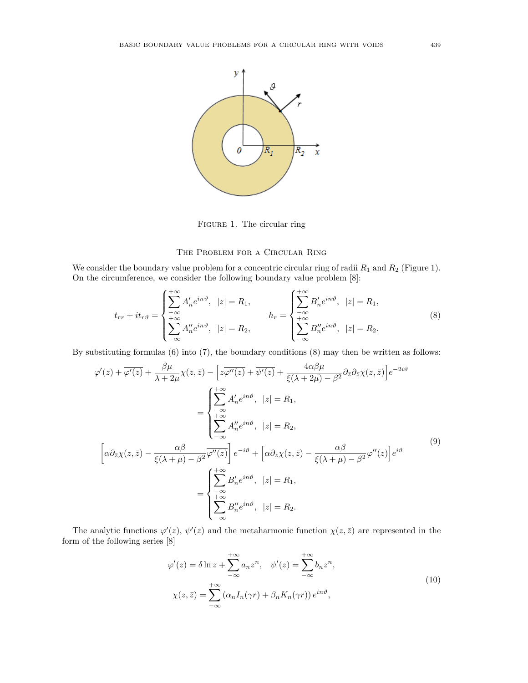

FIGURE 1. The circular ring

# The Problem for a Circular Ring

We consider the boundary value problem for a concentric circular ring of radii  $R_1$  and  $R_2$  (Figure 1). On the circumference, we consider the following boundary value problem [8]:

$$
t_{rr} + it_{r\vartheta} = \begin{cases} \sum_{-\infty}^{+\infty} A'_n e^{in\vartheta}, & |z| = R_1, \\ \sum_{-\infty}^{+\infty} A''_n e^{in\vartheta}, & |z| = R_2, \end{cases} \qquad h_r = \begin{cases} \sum_{-\infty}^{+\infty} B'_n e^{in\vartheta}, & |z| = R_1, \\ \sum_{-\infty}^{+\infty} B''_n e^{in\vartheta}, & |z| = R_2. \end{cases} \tag{8}
$$

By substituting formulas (6) into (7), the boundary conditions (8) may then be written as follows:

$$
\varphi'(z) + \overline{\varphi'(z)} + \frac{\beta \mu}{\lambda + 2\mu} \chi(z, \bar{z}) - \left[z \overline{\varphi''(z)} + \overline{\psi'(z)} + \frac{4\alpha \beta \mu}{\xi(\lambda + 2\mu) - \beta^2} \partial_{\bar{z}} \partial_{\bar{z}} \chi(z, \bar{z})\right] e^{-2i\vartheta}
$$

$$
= \begin{cases} \sum_{-\infty}^{+\infty} A'_n e^{in\vartheta}, & |z| = R_1, \\ \sum_{-\infty}^{+\infty} A''_n e^{in\vartheta}, & |z| = R_2, \\ \sum_{-\infty}^{\infty} A''_n e^{in\vartheta}, & |z| = R_2, \end{cases}
$$

$$
\left[\alpha \partial_{\bar{z}} \chi(z, \bar{z}) - \frac{\alpha \beta}{\xi(\lambda + \mu) - \beta^2} \overline{\varphi''(z)}\right] e^{-i\vartheta} + \left[\alpha \partial_z \chi(z, \bar{z}) - \frac{\alpha \beta}{\xi(\lambda + \mu) - \beta^2} \varphi''(z)\right] e^{i\vartheta}
$$

$$
= \begin{cases} \sum_{-\infty}^{+\infty} B'_n e^{in\vartheta}, & |z| = R_1, \\ \sum_{-\infty}^{+\infty} B''_n e^{in\vartheta}, & |z| = R_2, \\ \sum_{-\infty}^{+\infty} B''_n e^{in\vartheta}, & |z| = R_2. \end{cases}
$$

$$
(9)
$$

The analytic functions  $\varphi'(z)$ ,  $\psi'(z)$  and the metaharmonic function  $\chi(z,\bar{z})$  are represented in the form of the following series [8]

$$
\varphi'(z) = \delta \ln z + \sum_{-\infty}^{+\infty} a_n z^n, \quad \psi'(z) = \sum_{-\infty}^{+\infty} b_n z^n,
$$
  

$$
\chi(z, \bar{z}) = \sum_{-\infty}^{+\infty} (\alpha_n I_n(\gamma r) + \beta_n K_n(\gamma r)) e^{in\vartheta},
$$
 (10)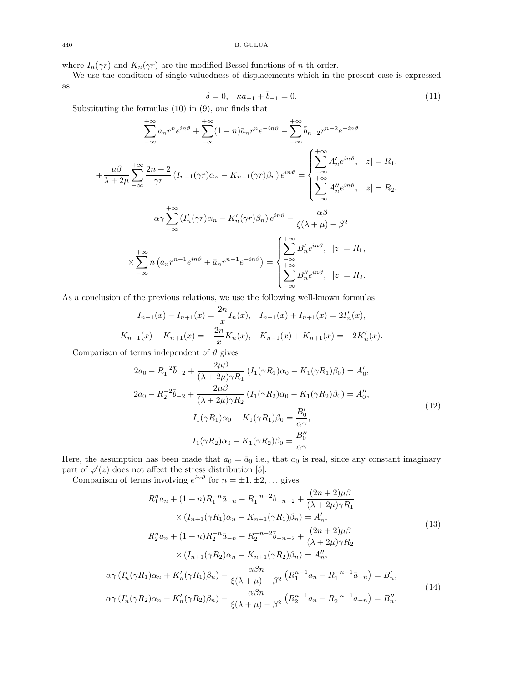where  $I_n(\gamma r)$  and  $K_n(\gamma r)$  are the modified Bessel functions of *n*-th order.

We use the condition of single-valuedness of displacements which in the present case is expressed as

$$
\delta = 0, \quad \kappa a_{-1} + \bar{b}_{-1} = 0. \tag{11}
$$

Substituting the formulas (10) in (9), one finds that

$$
\sum_{-\infty}^{+\infty} a_n r^n e^{in\vartheta} + \sum_{-\infty}^{+\infty} (1 - n) \bar{a}_n r^n e^{-in\vartheta} - \sum_{-\infty}^{+\infty} \bar{b}_{n-2} r^{n-2} e^{-in\vartheta}
$$

$$
+ \frac{\mu \beta}{\lambda + 2\mu} \sum_{-\infty}^{+\infty} \frac{2n+2}{\gamma r} \left( I_{n+1}(\gamma r) \alpha_n - K_{n+1}(\gamma r) \beta_n \right) e^{in\vartheta} = \begin{cases} +\infty \\ \sum_{-\infty}^{-\infty} A'_n e^{in\vartheta}, & |z| = R_1, \\ \sum_{-\infty}^{+\infty} A''_n e^{in\vartheta}, & |z| = R_2, \end{cases}
$$

$$
\alpha \gamma \sum_{-\infty}^{+\infty} \left( I'_n(\gamma r) \alpha_n - K'_n(\gamma r) \beta_n \right) e^{in\vartheta} - \frac{\alpha \beta}{\xi(\lambda + \mu) - \beta^2}
$$

$$
\times \sum_{-\infty}^{+\infty} n \left( a_n r^{n-1} e^{in\vartheta} + \bar{a}_n r^{n-1} e^{-in\vartheta} \right) = \begin{cases} +\infty \\ \sum_{-\infty}^{-\infty} B'_n e^{in\vartheta}, & |z| = R_1, \\ \sum_{-\infty}^{+\infty} B''_n e^{in\vartheta}, & |z| = R_2. \end{cases}
$$

As a conclusion of the previous relations, we use the following well-known formulas

$$
I_{n-1}(x) - I_{n+1}(x) = \frac{2n}{x} I_n(x), \quad I_{n-1}(x) + I_{n+1}(x) = 2I'_n(x),
$$
  

$$
K_{n-1}(x) - K_{n+1}(x) = -\frac{2n}{x} K_n(x), \quad K_{n-1}(x) + K_{n+1}(x) = -2K'_n(x).
$$

Comparison of terms independent of  $\vartheta$  gives

 $\alpha\gamma$ 

 $\alpha\gamma$ 

$$
2a_0 - R_1^{-2}\bar{b}_{-2} + \frac{2\mu\beta}{(\lambda + 2\mu)\gamma R_1} (I_1(\gamma R_1)\alpha_0 - K_1(\gamma R_1)\beta_0) = A'_0,
$$
  
\n
$$
2a_0 - R_2^{-2}\bar{b}_{-2} + \frac{2\mu\beta}{(\lambda + 2\mu)\gamma R_2} (I_1(\gamma R_2)\alpha_0 - K_1(\gamma R_2)\beta_0) = A''_0,
$$
  
\n
$$
I_1(\gamma R_1)\alpha_0 - K_1(\gamma R_1)\beta_0 = \frac{B'_0}{\alpha\gamma},
$$
  
\n
$$
I_1(\gamma R_2)\alpha_0 - K_1(\gamma R_2)\beta_0 = \frac{B''_0}{\alpha\gamma}.
$$
\n(12)

Here, the assumption has been made that  $a_0 = \bar{a}_0$  i.e., that  $a_0$  is real, since any constant imaginary part of  $\varphi'(z)$  does not affect the stress distribution [5].

Comparison of terms involving  $e^{in\vartheta}$  for  $n = \pm 1, \pm 2, \ldots$  gives

$$
R_1^n a_n + (1+n)R_1^{-n} \bar{a}_{-n} - R_1^{-n-2} \bar{b}_{-n-2} + \frac{(2n+2)\mu\beta}{(\lambda+2\mu)\gamma R_1}
$$
  
\n
$$
\times (I_{n+1}(\gamma R_1)\alpha_n - K_{n+1}(\gamma R_1)\beta_n) = A'_n,
$$
  
\n
$$
R_2^n a_n + (1+n)R_2^{-n} \bar{a}_{-n} - R_2^{-n-2} \bar{b}_{-n-2} + \frac{(2n+2)\mu\beta}{(\lambda+2\mu)\gamma R_2}
$$
  
\n
$$
\times (I_{n+1}(\gamma R_2)\alpha_n - K_{n+1}(\gamma R_2)\beta_n) = A''_n,
$$
  
\n
$$
(I'_n(\gamma R_1)\alpha_n + K'_n(\gamma R_1)\beta_n) - \frac{\alpha\beta n}{\xi(\lambda+\mu) - \beta^2} (R_1^{n-1} a_n - R_1^{-n-1} \bar{a}_{-n}) = B'_n,
$$
  
\n
$$
(I'_n(\gamma R_2)\alpha_n + K'_n(\gamma R_2)\beta_n) - \frac{\alpha\beta n}{\xi(\lambda+\mu) - \beta^2} (R_2^{n-1} a_n - R_2^{-n-1} \bar{a}_{-n}) = B''_n.
$$
  
\n(14)